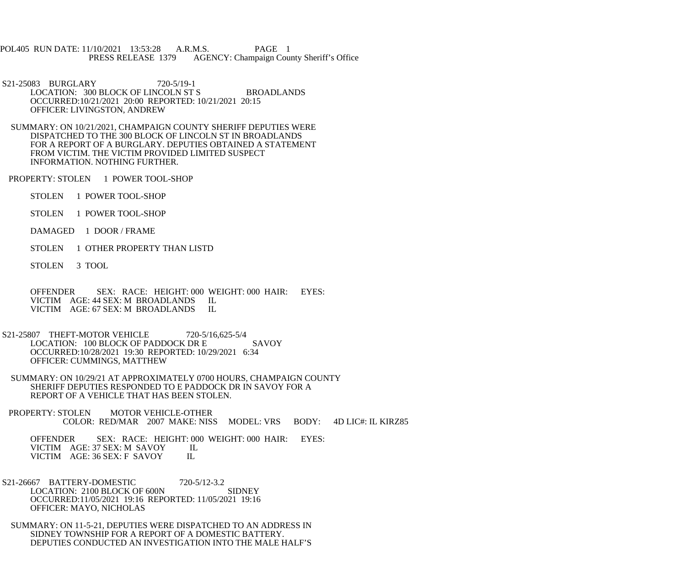POL405 RUN DATE: 11/10/2021 13:53:28 A.R.M.S. PAGE 1<br>PRESS RELEASE 1379 AGENCY: Champaign Cou AGENCY: Champaign County Sheriff's Office

 S21-25083 BURGLARY 720-5/19-1 LOCATION: 300 BLOCK OF LINCOLN ST S BROADLANDS OCCURRED:10/21/2021 20:00 REPORTED: 10/21/2021 20:15 OFFICER: LIVINGSTON, ANDREW

 SUMMARY: ON 10/21/2021, CHAMPAIGN COUNTY SHERIFF DEPUTIES WERE DISPATCHED TO THE 300 BLOCK OF LINCOLN ST IN BROADLANDS FOR A REPORT OF A BURGLARY. DEPUTIES OBTAINED A STATEMENT FROM VICTIM. THE VICTIM PROVIDED LIMITED SUSPECT INFORMATION. NOTHING FURTHER.

PROPERTY: STOLEN 1 POWER TOOL-SHOP

STOLEN 1 POWER TOOL-SHOP

STOLEN 1 POWER TOOL-SHOP

DAMAGED 1 DOOR / FRAME

STOLEN 1 OTHER PROPERTY THAN LISTD

STOLEN 3 TOOL

 OFFENDER SEX: RACE: HEIGHT: 000 WEIGHT: 000 HAIR: EYES: VICTIM AGE: 44 SEX: M BROADLANDS IL<br>VICTIM AGE: 67 SEX: M BROADLANDS IL VICTIM AGE: 67 SEX: M BROADLANDS

 S21-25807 THEFT-MOTOR VEHICLE 720-5/16,625-5/4 LOCATION: 100 BLOCK OF PADDOCK DR E SAVOY OCCURRED:10/28/2021 19:30 REPORTED: 10/29/2021 6:34 OFFICER: CUMMINGS, MATTHEW

 SUMMARY: ON 10/29/21 AT APPROXIMATELY 0700 HOURS, CHAMPAIGN COUNTY SHERIFF DEPUTIES RESPONDED TO E PADDOCK DR IN SAVOY FOR A REPORT OF A VEHICLE THAT HAS BEEN STOLEN.

PROPERTY: STOLEN MOTOR VEHICLE-OTHER COLOR: RED/MAR 2007 MAKE: NISS MODEL: VRS BODY: 4D LIC#: IL KIRZ85

 OFFENDER SEX: RACE: HEIGHT: 000 WEIGHT: 000 HAIR: EYES: VICTIM AGE: 37 SEX: M SAVOY IL<br>VICTIM AGE: 36 SEX: F SAVOY IL VICTIM AGE: 36 SEX: F SAVOY

 S21-26667 BATTERY-DOMESTIC 720-5/12-3.2 LOCATION: 2100 BLOCK OF 600N SIDNEY OCCURRED:11/05/2021 19:16 REPORTED: 11/05/2021 19:16 OFFICER: MAYO, NICHOLAS

 SUMMARY: ON 11-5-21, DEPUTIES WERE DISPATCHED TO AN ADDRESS IN SIDNEY TOWNSHIP FOR A REPORT OF A DOMESTIC BATTERY. DEPUTIES CONDUCTED AN INVESTIGATION INTO THE MALE HALF'S